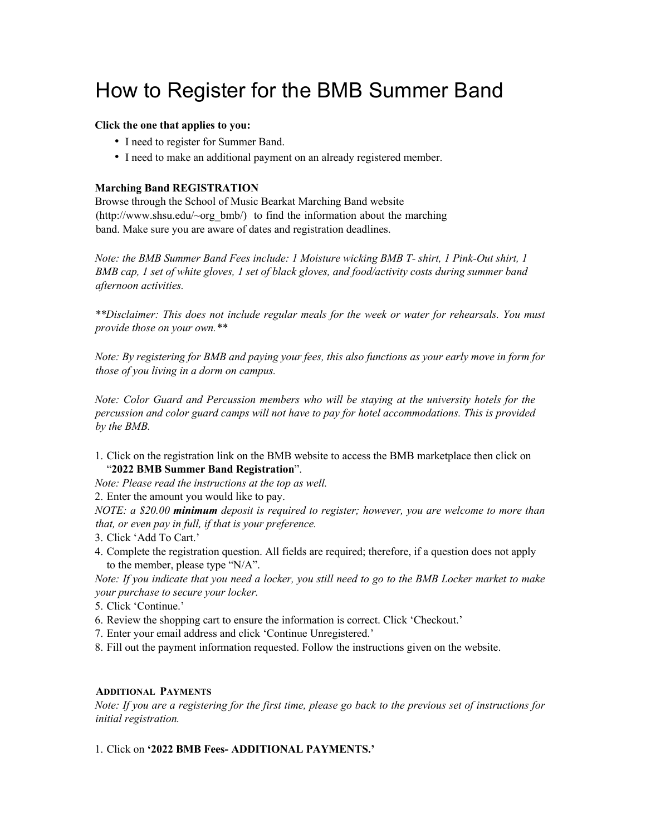# How to Register for the BMB Summer Band

### **Click the one that applies to you:**

- I need to register for Summer Band.
- I need to make an additional payment on an already registered member.

## **Marching Band REGISTRATION**

Browse through the School of Music Bearkat Marching Band website  $(http://www.shsu.edu/~org-bmb')$  to find the information about the marching band. Make sure you are aware of dates and registration deadlines.

*Note: the BMB Summer Band Fees include: 1 Moisture wicking BMB T- shirt, 1 Pink-Out shirt, 1 BMB cap, 1 set of white gloves, 1 set of black gloves, and food/activity costs during summer band afternoon activities.*

*\*\*Disclaimer: This does not include regular meals for the week or water for rehearsals. You must provide those on your own.\*\**

*Note: By registering for BMB and paying your fees, this also functions as your early move in form for those of you living in a dorm on campus.*

*Note: Color Guard and Percussion members who will be staying at the university hotels for the percussion and color guard camps will not have to pay for hotel accommodations. This is provided by the BMB.*

1. Click on the registration link on the BMB website to access the BMB marketplace then click on "**2022 BMB Summer Band Registration**".

*Note: Please read the instructions at the top as well.*

2. Enter the amount you would like to pay.

*NOTE: a \$20.00 minimum deposit is required to register; however, you are welcome to more than that, or even pay in full, if that is your preference.*

3. Click 'Add To Cart.'

4. Complete the registration question. All fields are required; therefore, if a question does not apply to the member, please type "N/A".

*Note: If you indicate that you need a locker, you still need to go to the BMB Locker market to make your purchase to secure your locker.*

5. Click 'Continue.'

- 6. Review the shopping cart to ensure the information is correct. Click 'Checkout.'
- 7. Enter your email address and click 'Continue Unregistered.'
- 8. Fill out the payment information requested. Follow the instructions given on the website.

### **ADDITIONAL PAYMENTS**

*Note: If you are a registering for the first time, please go back to the previous set of instructions for initial registration.*

### 1. Click on **'2022 BMB Fees- ADDITIONAL PAYMENTS.'**